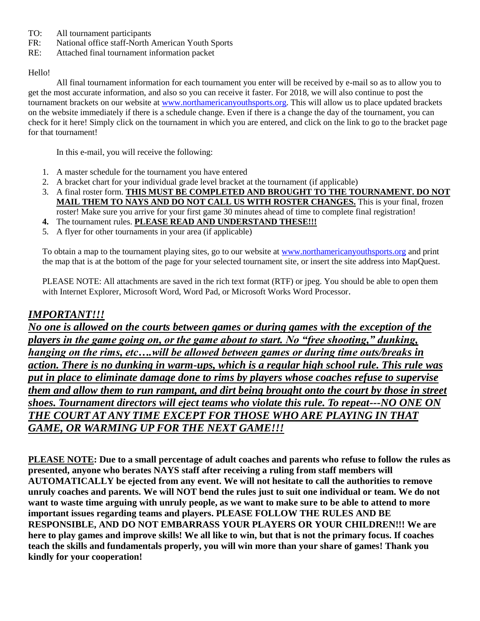- TO: All tournament participants
- FR: National office staff-North American Youth Sports
- RE: Attached final tournament information packet

#### Hello!

All final tournament information for each tournament you enter will be received by e-mail so as to allow you to get the most accurate information, and also so you can receive it faster. For 2018, we will also continue to post the tournament brackets on our website at [www.northamericanyouthsports.org.](http://www.northamericanyouthsports.org/) This will allow us to place updated brackets on the website immediately if there is a schedule change. Even if there is a change the day of the tournament, you can check for it here! Simply click on the tournament in which you are entered, and click on the link to go to the bracket page for that tournament!

In this e-mail, you will receive the following:

- 1. A master schedule for the tournament you have entered
- 2. A bracket chart for your individual grade level bracket at the tournament (if applicable)
- 3. A final roster form. **THIS MUST BE COMPLETED AND BROUGHT TO THE TOURNAMENT. DO NOT MAIL THEM TO NAYS AND DO NOT CALL US WITH ROSTER CHANGES.** This is your final, frozen roster! Make sure you arrive for your first game 30 minutes ahead of time to complete final registration!
- **4.** The tournament rules. **PLEASE READ AND UNDERSTAND THESE!!!**
- 5. A flyer for other tournaments in your area (if applicable)

To obtain a map to the tournament playing sites, go to our website at [www.northamericanyouthsports.org](http://www.northamericanyouthsports.org/) and print the map that is at the bottom of the page for your selected tournament site, or insert the site address into MapQuest.

PLEASE NOTE: All attachments are saved in the rich text format (RTF) or jpeg. You should be able to open them with Internet Explorer, Microsoft Word, Word Pad, or Microsoft Works Word Processor.

#### *IMPORTANT!!!*

*No one is allowed on the courts between games or during games with the exception of the players in the game going on, or the game about to start. No "free shooting," dunking, hanging on the rims, etc….will be allowed between games or during time outs/breaks in action. There is no dunking in warm-ups, which is a regular high school rule. This rule was put in place to eliminate damage done to rims by players whose coaches refuse to supervise them and allow them to run rampant, and dirt being brought onto the court by those in street shoes. Tournament directors will eject teams who violate this rule. To repeat---NO ONE ON THE COURT AT ANY TIME EXCEPT FOR THOSE WHO ARE PLAYING IN THAT GAME, OR WARMING UP FOR THE NEXT GAME!!!*

**PLEASE NOTE: Due to a small percentage of adult coaches and parents who refuse to follow the rules as presented, anyone who berates NAYS staff after receiving a ruling from staff members will AUTOMATICALLY be ejected from any event. We will not hesitate to call the authorities to remove unruly coaches and parents. We will NOT bend the rules just to suit one individual or team. We do not want to waste time arguing with unruly people, as we want to make sure to be able to attend to more important issues regarding teams and players. PLEASE FOLLOW THE RULES AND BE RESPONSIBLE, AND DO NOT EMBARRASS YOUR PLAYERS OR YOUR CHILDREN!!! We are here to play games and improve skills! We all like to win, but that is not the primary focus. If coaches teach the skills and fundamentals properly, you will win more than your share of games! Thank you kindly for your cooperation!**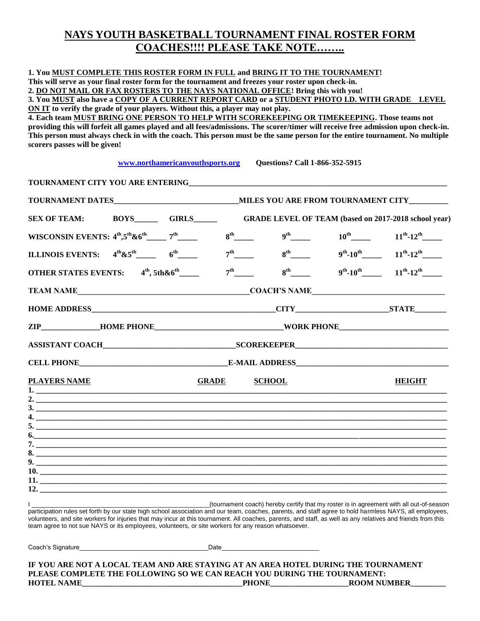#### **NAYS YOUTH BASKETBALL TOURNAMENT FINAL ROSTER FORM COACHES!!!! PLEASE TAKE NOTE……..**

| 1. You MUST COMPLETE THIS ROSTER FORM IN FULL and BRING IT TO THE TOURNAMENT!                                                                            |                                  |                                |                                       |                                                                                                    |
|----------------------------------------------------------------------------------------------------------------------------------------------------------|----------------------------------|--------------------------------|---------------------------------------|----------------------------------------------------------------------------------------------------|
| This will serve as your final roster form for the tournament and freezes your roster upon check-in.                                                      |                                  |                                |                                       |                                                                                                    |
| 2. DO NOT MAIL OR FAX ROSTERS TO THE NAYS NATIONAL OFFICE! Bring this with you!                                                                          |                                  |                                |                                       |                                                                                                    |
| 3. You MUST also have a COPY OF A CURRENT REPORT CARD or a STUDENT PHOTO I.D. WITH GRADE LEVEL                                                           |                                  |                                |                                       |                                                                                                    |
| ON IT to verify the grade of your players. Without this, a player may not play.                                                                          |                                  |                                |                                       |                                                                                                    |
| 4. Each team MUST BRING ONE PERSON TO HELP WITH SCOREKEEPING OR TIMEKEEPING. Those teams not                                                             |                                  |                                |                                       |                                                                                                    |
| providing this will forfeit all games played and all fees/admissions. The scorer/timer will receive free admission upon check-in.                        |                                  |                                |                                       |                                                                                                    |
| This person must always check in with the coach. This person must be the same person for the entire tournament. No multiple                              |                                  |                                |                                       |                                                                                                    |
| scorers passes will be given!                                                                                                                            |                                  |                                |                                       |                                                                                                    |
|                                                                                                                                                          |                                  |                                |                                       |                                                                                                    |
|                                                                                                                                                          | www.northamericanyouthsports.org |                                | <b>Questions? Call 1-866-352-5915</b> |                                                                                                    |
|                                                                                                                                                          |                                  |                                |                                       |                                                                                                    |
|                                                                                                                                                          |                                  |                                |                                       |                                                                                                    |
| SEX OF TEAM: BOYS_________GIRLS_________GRADE LEVEL OF TEAM (based on 2017-2018 school year)                                                             |                                  |                                |                                       |                                                                                                    |
|                                                                                                                                                          |                                  |                                |                                       |                                                                                                    |
| ILLINOIS EVENTS: $4^{th}$ &5 <sup>th</sup> 6 <sup>th</sup> 6 <sup>th</sup>                                                                               |                                  |                                |                                       | $7^{\text{th}}$ 8 <sup>th</sup> 9 <sup>th</sup> 10 <sup>th</sup> 11 <sup>th</sup> 12 <sup>th</sup> |
| OTHER STATES EVENTS: $4^{\text{th}}$ , 5th & 6 <sup>th</sup>                                                                                             |                                  | $7^{\rm th}$ <sub>______</sub> |                                       | $8^{th}$ 9 <sup>th</sup> -10 <sup>th</sup> 11 <sup>th</sup> -12 <sup>th</sup>                      |
|                                                                                                                                                          |                                  |                                |                                       |                                                                                                    |
|                                                                                                                                                          |                                  |                                |                                       |                                                                                                    |
| ZIP______________HOME PHONE__________________________________WORK PHONE_____________________________                                                     |                                  |                                |                                       |                                                                                                    |
|                                                                                                                                                          |                                  |                                |                                       |                                                                                                    |
|                                                                                                                                                          |                                  |                                |                                       |                                                                                                    |
| <b>PLAYERS NAME</b>                                                                                                                                      |                                  | <b>GRADE</b>                   | <b>SCHOOL</b>                         | <b>HEIGHT</b>                                                                                      |
|                                                                                                                                                          |                                  |                                |                                       |                                                                                                    |
|                                                                                                                                                          |                                  |                                |                                       |                                                                                                    |
|                                                                                                                                                          |                                  |                                |                                       |                                                                                                    |
|                                                                                                                                                          |                                  |                                |                                       |                                                                                                    |
| 6.                                                                                                                                                       |                                  |                                |                                       |                                                                                                    |
|                                                                                                                                                          |                                  |                                |                                       |                                                                                                    |
|                                                                                                                                                          |                                  |                                |                                       |                                                                                                    |
|                                                                                                                                                          |                                  |                                |                                       |                                                                                                    |
| 10.                                                                                                                                                      |                                  |                                |                                       |                                                                                                    |
| 11.                                                                                                                                                      |                                  |                                |                                       |                                                                                                    |
| 12.                                                                                                                                                      |                                  |                                |                                       |                                                                                                    |
|                                                                                                                                                          |                                  |                                |                                       |                                                                                                    |
| participation rules set forth by our state high school association and our team, coaches, parents, and staff agree to hold harmless NAYS, all employees. |                                  |                                |                                       | (tournament coach) hereby certify that my roster is in agreement with all out-of-season            |
|                                                                                                                                                          |                                  |                                |                                       |                                                                                                    |

participation rules set forth by our state high school association and our team, coaches, parents, and staff agree to hold harmless NAYS, all employees, volunteers, and site workers for injuries that may incur at this tournament. All coaches, parents, and staff, as well as any relatives and friends from this team agree to not sue NAYS or its employees, volunteers, or site workers for any reason whatsoever.

Coach's Signature\_\_\_\_\_\_\_\_\_\_\_\_\_\_\_\_\_\_\_\_\_\_\_\_\_\_\_\_\_\_\_\_\_\_\_\_\_Date\_\_\_\_\_\_\_\_\_\_\_\_\_\_\_\_\_\_\_\_\_\_\_\_\_\_\_\_

**IF YOU ARE NOT A LOCAL TEAM AND ARE STAYING AT AN AREA HOTEL DURING THE TOURNAMENT PLEASE COMPLETE THE FOLLOWING SO WE CAN REACH YOU DURING THE TOURNAMENT: HOTEL NAME\_\_\_\_\_\_\_\_\_\_\_\_\_\_\_\_\_\_\_\_\_\_\_\_\_\_\_\_\_\_\_\_\_\_\_\_\_\_\_\_\_PHONE\_\_\_\_\_\_\_\_\_\_\_\_\_\_\_\_\_\_\_\_ROOM NUMBER\_\_\_\_\_\_\_\_\_**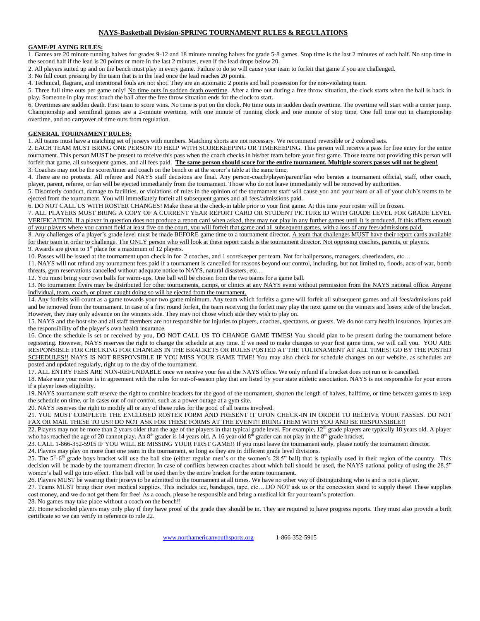#### **NAYS-Basketball Division-SPRING TOURNAMENT RULES & REGULATIONS**

#### **GAME/PLAYING RULES:**

1. Games are 20 minute running halves for grades 9-12 and 18 minute running halves for grade 5-8 games. Stop time is the last 2 minutes of each half. No stop time in the second half if the lead is 20 points or more in the last 2 minutes, even if the lead drops below 20.

2. All players suited up and on the bench must play in every game. Failure to do so will cause your team to forfeit that game if you are challenged.

3. No full court pressing by the team that is in the lead once the lead reaches 20 points.

4. Technical, flagrant, and intentional fouls are not shot. They are an automatic 2 points and ball possession for the non-violating team.

5. Three full time outs per game only! No time outs in sudden death overtime. After a time out during a free throw situation, the clock starts when the ball is back in play. Someone in play must touch the ball after the free throw situation ends for the clock to start.

6. Overtimes are sudden death. First team to score wins. No time is put on the clock. No time outs in sudden death overtime. The overtime will start with a center jump. Championship and semifinal games are a 2-minute overtime, with one minute of running clock and one minute of stop time. One full time out in championship overtime, and no carryover of time outs from regulation.

#### **GENERAL TOURNAMENT RULES:**

1. All teams must have a matching set of jerseys with numbers. Matching shorts are not necessary. We recommend reversible or 2 colored sets.

2. EACH TEAM MUST BRING ONE PERSON TO HELP WITH SCOREKEEPING OR TIMEKEEPING. This person will receive a pass for free entry for the entire tournament. This person MUST be present to receive this pass when the coach checks in his/her team before your first game. Those teams not providing this person will forfeit that game, all subsequent games, and all fees paid. **The same person should score for the entire tournament. Multiple scorers passes will not be given!** 3. Coaches may not be the scorer/timer and coach on the bench or at the scorer's table at the same time.

4. There are no protests. All referee and NAYS staff decisions are final. Any person-coach/player/parent/fan who berates a tournament official, staff, other coach, player, parent, referee, or fan will be ejected immediately from the tournament. Those who do not leave immediately will be removed by authorities.

5. Disorderly conduct, damage to facilities, or violations of rules in the opinion of the tournament staff will cause you and your team or all of your club's teams to be ejected from the tournament. You will immediately forfeit all subsequent games and all fees/admissions paid.

6. DO NOT CALL US WITH ROSTER CHANGES! Make these at the check-in table prior to your first game. At this time your roster will be frozen.

7. ALL PLAYERS MUST BRING A COPY OF A CURRENT YEAR REPORT CARD OR STUDENT PICTURE ID WITH GRADE LEVEL FOR GRADE LEVEL VERIFICATION. If a player in question does not produce a report card when asked, they may not play in any further games until it is produced. If this affects enough of your players where you cannot field at least five on the court, you will forfeit that game and all subsequent games, with a loss of any fees/admissions paid.

8. Any challenges of a player's grade level must be made BEFORE game time to a tournament director. A team that challenges MUST have their report cards available for their team in order to challenge. The ONLY person who will look at these report cards is the tournament director. Not opposing coaches, parents, or players. 9. Awards are given to  $1<sup>st</sup>$  place for a maximum of 12 players.

10. Passes will be issued at the tournament upon check in for 2 coaches, and 1 scorekeeper per team. Not for ballpersons, managers, cheerleaders, etc…

11. NAYS will not refund any tournament fees paid if a tournament is cancelled for reasons beyond our control, including, but not limited to, floods, acts of war, bomb threats, gym reservations cancelled without adequate notice to NAYS, natural disasters, etc…

12. You must bring your own balls for warm-ups. One ball will be chosen from the two teams for a game ball.

13. No tournament flyers may be distributed for other tournaments, camps, or clinics at any NAYS event without permission from the NAYS national office. Anyone individual, team, coach, or player caught doing so will be ejected from the tournament.

14. Any forfeits will count as a game towards your two game minimum. Any team which forfeits a game will forfeit all subsequent games and all fees/admissions paid and be removed from the tournament. In case of a first round forfeit, the team receiving the forfeit may play the next game on the winners and losers side of the bracket. However, they may only advance on the winners side. They may not chose which side they wish to play on.

15. NAYS and the host site and all staff members are not responsible for injuries to players, coaches, spectators, or guests. We do not carry health insurance. Injuries are the responsibility of the player's own health insurance.

16. Once the schedule is set or received by you, DO NOT CALL US TO CHANGE GAME TIMES! You should plan to be present during the tournament before registering. However, NAYS reserves the right to change the schedule at any time. If we need to make changes to your first game time, we will call you. YOU ARE RESPONSIBLE FOR CHECKING FOR CHANGES IN THE BRACKETS OR RULES POSTED AT THE TOURNAMENT AT ALL TIMES! GO BY THE POSTED SCHEDULES!! NAYS IS NOT RESPONSIBLE IF YOU MISS YOUR GAME TIME! You may also check for schedule changes on our website, as schedules are posted and updated regularly, right up to the day of the tournament.

17. ALL ENTRY FEES ARE NON-REFUNDABLE once we receive your fee at the NAYS office. We only refund if a bracket does not run or is cancelled.

18. Make sure your roster is in agreement with the rules for out-of-season play that are listed by your state athletic association. NAYS is not responsible for your errors if a player loses eligibility.

19. NAYS tournament staff reserve the right to combine brackets for the good of the tournament, shorten the length of halves, halftime, or time between games to keep the schedule on time, or in cases out of our control, such as a power outage at a gym site.

20. NAYS reserves the right to modify all or any of these rules for the good of all teams involved.

21. YOU MUST COMPLETE THE ENCLOSED ROSTER FORM AND PRESENT IT UPON CHECK-IN IN ORDER TO RECEIVE YOUR PASSES. DO NOT FAX OR MAIL THESE TO US!! DO NOT ASK FOR THESE FORMS AT THE EVENT!! BRING THEM WITH YOU AND BE RESPONSIBLE!!

22. Players may not be more than 2 years older than the age of the players in that typical grade level. For example, 12<sup>th</sup> grade players are typically 18 years old. A player who has reached the age of 20 cannot play. An  $8<sup>th</sup>$  grader is 14 years old. A 16 year old  $8<sup>th</sup>$  grader can not play in the  $8<sup>th</sup>$  grade bracket.

23. CALL 1-866-352-5915 IF YOU WILL BE MISSING YOUR FIRST GAME!! If you must leave the tournament early, please notify the tournament director.

24. Players may play on more than one team in the tournament, so long as they are in different grade level divisions.

25. The  $5<sup>th</sup>$ - $6<sup>th</sup>$  grade boys bracket will use the ball size (either regular men's or the women's 28.5" ball) that is typically used in their region of the country. This decision will be made by the tournament director. In case of conflicts between coaches about which ball should be used, the NAYS national policy of using the 28.5" women's ball will go into effect. This ball will be used then by the entire bracket for the entire tournament.

26. Players MUST be wearing their jerseys to be admitted to the tournament at all times. We have no other way of distinguishing who is and is not a player.

27. Teams MUST bring their own medical supplies. This includes ice, bandages, tape, etc….DO NOT ask us or the concession stand to supply these! These supplies cost money, and we do not get them for free! As a coach, please be responsible and bring a medical kit for your team's protection.

28. No games may take place without a coach on the bench!!

29. Home schooled players may only play if they have proof of the grade they should be in. They are required to have progress reports. They must also provide a birth certificate so we can verify in reference to rule 22.

[www.northamericanyouthsports.org](http://www.northamericanyouthsports.org/) 1-866-352-5915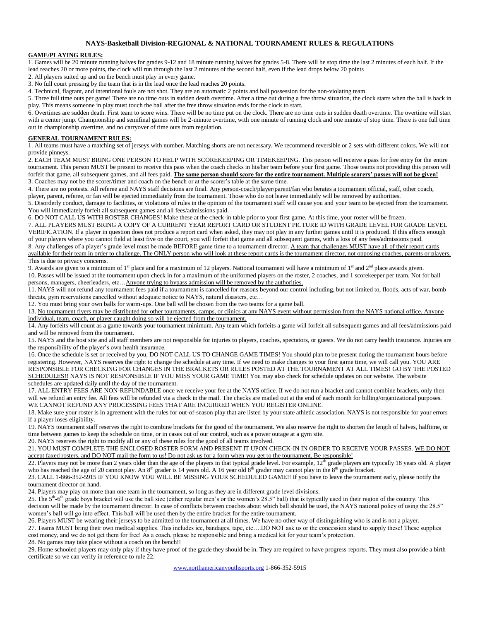#### **NAYS-Basketball Division-REGIONAL & NATIONAL TOURNAMENT RULES & REGULATIONS**

#### **GAME/PLAYING RULES:**

1. Games will be 20 minute running halves for grades 9-12 and 18 minute running halves for grades 5-8. There will be stop time the last 2 minutes of each half. If the lead reaches 20 or more points, the clock will run through the last 2 minutes of the second half, even if the lead drops below 20 points

2. All players suited up and on the bench must play in every game.

3. No full court pressing by the team that is in the lead once the lead reaches 20 points.

4. Technical, flagrant, and intentional fouls are not shot. They are an automatic 2 points and ball possession for the non-violating team.

5. Three full time outs per game! There are no time outs in sudden death overtime. After a time out during a free throw situation, the clock starts when the ball is back in play. This means someone in play must touch the ball after the free throw situation ends for the clock to start.

6. Overtimes are sudden death. First team to score wins. There will be no time put on the clock. There are no time outs in sudden death overtime. The overtime will start with a center jump. Championship and semifinal games will be 2-minute overtime, with one minute of running clock and one minute of stop time. There is one full time out in championship overtime, and no carryover of time outs from regulation.

#### **GENERAL TOURNAMENT RULES:**

1. All teams must have a matching set of jerseys with number. Matching shorts are not necessary. We recommend reversible or 2 sets with different colors. We will not provide pinneys.

2. EACH TEAM MUST BRING ONE PERSON TO HELP WITH SCOREKEEPING OR TIMEKEEPING. This person will receive a pass for free entry for the entire tournament. This person MUST be present to receive this pass when the coach checks in his/her team before your first game. Those teams not providing this person will forfeit that game, all subsequent games, and all fees paid. **The same person should score for the entire tournament. Multiple scorers' passes will not be given!** 3. Coaches may not be the scorer/timer and coach on the bench or at the scorer's table at the same time.

4. There are no protests. All referee and NAYS staff decisions are final. Any person-coach/player/parent/fan who berates a tournament official, staff, other coach, player, parent, referee, or fan will be ejected immediately from the tournament. Those who do not leave immediately will be removed by authorities.

5. Disorderly conduct, damage to facilities, or violations of rules in the opinion of the tournament staff will cause you and your team to be ejected from the tournament. You will immediately forfeit all subsequent games and all fees/admissions paid.

6. DO NOT CALL US WITH ROSTER CHANGES! Make these at the check-in table prior to your first game. At this time, your roster will be frozen. 7. ALL PLAYERS MUST BRING A COPY OF A CURRENT YEAR REPORT CARD OR STUDENT PICTURE ID WITH GRADE LEVEL FOR GRADE LEVEL VERIFICATION. If a player in question does not produce a report card when asked, they may not play in any further games until it is produced. If this affects enough of your players where you cannot field at least five on the court, you will forfeit that game and all subsequent games, with a loss of any fees/admissions paid. 8. Any challenges of a player's grade level must be made BEFORE game time to a tournament director. A team that challenges MUST have all of their report cards available for their team in order to challenge. The ONLY person who will look at these report cards is the tournament director, not opposing coaches, parents or players.

#### This is due to privacy concerns.

9. Awards are given to a minimum of  $1<sup>st</sup>$  place and for a maximum of 12 players. National tournament will have a minimum of  $1<sup>st</sup>$  and  $2<sup>nd</sup>$  place awards given. 10. Passes will be issued at the tournament upon check in for a maximum of the uniformed players on the roster, 2 coaches, and 1 scorekeeper per team. Not for ball persons, managers, cheerleaders, etc... Anyone trying to bypass admission will be removed by the authorities.

11. NAYS will not refund any tournament fees paid if a tournament is cancelled for reasons beyond our control including, but not limited to, floods, acts of war, bomb threats, gym reservations cancelled without adequate notice to NAYS, natural disasters, etc…

12. You must bring your own balls for warm-ups. One ball will be chosen from the two teams for a game ball.

13. No tournament flyers may be distributed for other tournaments, camps, or clinics at any NAYS event without permission from the NAYS national office. Anyone individual, team, coach, or player caught doing so will be ejected from the tournament.

14. Any forfeits will count as a game towards your tournament minimum. Any team which forfeits a game will forfeit all subsequent games and all fees/admissions paid and will be removed from the tournament.

15. NAYS and the host site and all staff members are not responsible for injuries to players, coaches, spectators, or guests. We do not carry health insurance. Injuries are the responsibility of the player's own health insurance.

16. Once the schedule is set or received by you, DO NOT CALL US TO CHANGE GAME TIMES! You should plan to be present during the tournament hours before registering. However, NAYS reserves the right to change the schedule at any time. If we need to make changes to your first game time, we will call you. YOU ARE RESPONSIBLE FOR CHECKING FOR CHANGES IN THE BRACKETS OR RULES POSTED AT THE TOURNAMENT AT ALL TIMES! GO BY THE POSTED SCHEDULES!! NAYS IS NOT RESPONSIBLE IF YOU MISS YOUR GAME TIME! You may also check for schedule updates on our website. The website schedules are updated daily until the day of the tournament.

17. ALL ENTRY FEES ARE NON-REFUNDABLE once we receive your fee at the NAYS office. If we do not run a bracket and cannot combine brackets, only then will we refund an entry fee. All fees will be refunded via a check in the mail. The checks are mailed out at the end of each month for billing/organizational purposes. WE CANNOT REFUND ANY PROCESSING FEES THAT ARE INCURRED WHEN YOU REGISTER ONLINE.

18. Make sure your roster is in agreement with the rules for out-of-season play that are listed by your state athletic association. NAYS is not responsible for your errors if a player loses eligibility.

19. NAYS tournament staff reserves the right to combine brackets for the good of the tournament. We also reserve the right to shorten the length of halves, halftime, or time between games to keep the schedule on time, or in cases out of our control, such as a power outage at a gym site.

20. NAYS reserves the right to modify all or any of these rules for the good of all teams involved.

21. YOU MUST COMPLETE THE ENCLOSED ROSTER FORM AND PRESENT IT UPON CHECK-IN IN ORDER TO RECEIVE YOUR PASSES. WE DO NOT accept faxed rosters, and DO NOT mail the form to us! Do not ask us for a form when you get to the tournament. Be responsible!

22. Players may not be more than 2 years older than the age of the players in that typical grade level. For example,  $12<sup>th</sup>$  grade players are typically 18 years old. A player who has reached the age of 20 cannot play. An 8<sup>th</sup> grader is 14 years old. A 16 year old 8<sup>th</sup> grader may cannot play in the 8<sup>th</sup> grade bracket.

23. CALL 1-866-352-5915 IF YOU KNOW YOU WILL BE MISSING YOUR SCHEDULED GAME!! If you have to leave the tournament early, please notify the tournament director on hand.

24. Players may play on more than one team in the tournament, so long as they are in different grade level divisions.

25. The  $5<sup>th</sup>$ -6<sup>th</sup> grade boys bracket will use the ball size (either regular men's or the women's 28.5" ball) that is typically used in their region of the country. This decision will be made by the tournament director. In case of conflicts between coaches about which ball should be used, the NAYS national policy of using the 28.5" women's ball will go into effect. This ball will be used then by the entire bracket for the entire tournament.

26. Players MUST be wearing their jerseys to be admitted to the tournament at all times. We have no other way of distinguishing who is and is not a player.

27. Teams MUST bring their own medical supplies. This includes ice, bandages, tape, etc….DO NOT ask us or the concession stand to supply these! These supplies cost money, and we do not get them for free! As a coach, please be responsible and bring a medical kit for your team's protection.

28. No games may take place without a coach on the bench!!

29. Home schooled players may only play if they have proof of the grade they should be in. They are required to have progress reports. They must also provide a birth certificate so we can verify in reference to rule 22.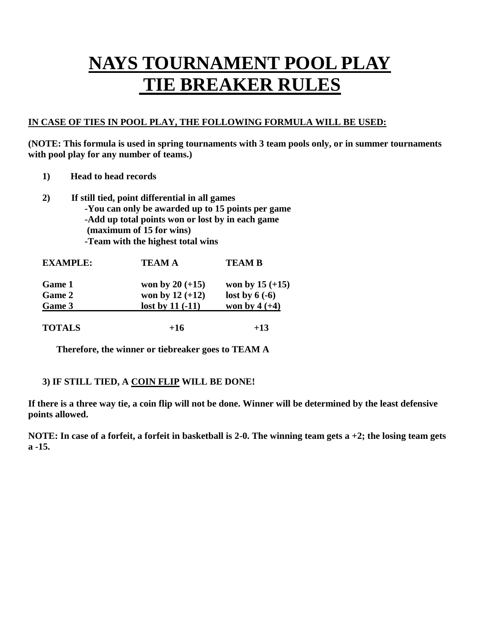### **NAYS TOURNAMENT POOL PLAY TIE BREAKER RULES**

#### **IN CASE OF TIES IN POOL PLAY, THE FOLLOWING FORMULA WILL BE USED:**

**(NOTE: This formula is used in spring tournaments with 3 team pools only, or in summer tournaments with pool play for any number of teams.)**

- **1) Head to head records**
- **2) If still tied, point differential in all games -You can only be awarded up to 15 points per game -Add up total points won or lost by in each game (maximum of 15 for wins) -Team with the highest total wins**

| <b>EXAMPLE:</b> | <b>TEAM A</b>     | <b>TEAM B</b>     |  |
|-----------------|-------------------|-------------------|--|
| <b>Game 1</b>   | won by $20 (+15)$ | won by $15 (+15)$ |  |
| <b>Game 2</b>   | won by $12 (+12)$ | lost by $6(-6)$   |  |
| Game 3          | lost by $11(-11)$ | won by $4 (+4)$   |  |
| <b>TOTALS</b>   | $+16$             | $+13$             |  |

**Therefore, the winner or tiebreaker goes to TEAM A**

#### **3) IF STILL TIED, A COIN FLIP WILL BE DONE!**

**If there is a three way tie, a coin flip will not be done. Winner will be determined by the least defensive points allowed.**

**NOTE: In case of a forfeit, a forfeit in basketball is 2-0. The winning team gets a +2; the losing team gets a -15.**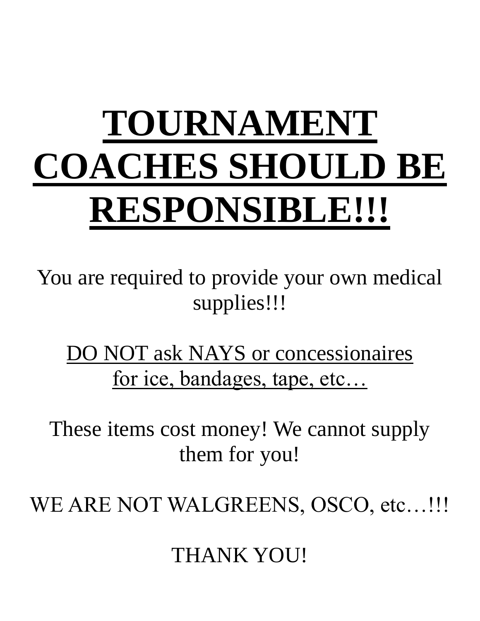# **TOURNAMENT COACHES SHOULD BE RESPONSIBLE!!!**

You are required to provide your own medical supplies!!!

DO NOT ask NAYS or concessionaires for ice, bandages, tape, etc…

These items cost money! We cannot supply them for you!

WE ARE NOT WALGREENS, OSCO, etc...!!!

THANK YOU!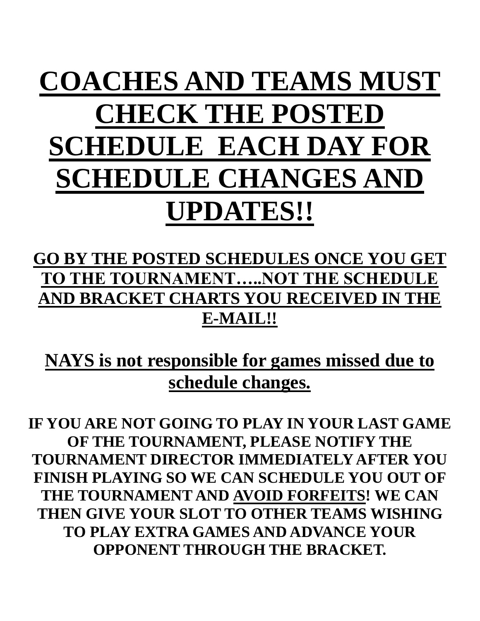## **COACHES AND TEAMS MUST CHECK THE POSTED SCHEDULE EACH DAY FOR SCHEDULE CHANGES AND UPDATES!!**

### **GO BY THE POSTED SCHEDULES ONCE YOU GET TO THE TOURNAMENT…..NOT THE SCHEDULE AND BRACKET CHARTS YOU RECEIVED IN THE E-MAIL!!**

**NAYS is not responsible for games missed due to schedule changes.**

**IF YOU ARE NOT GOING TO PLAY IN YOUR LAST GAME OF THE TOURNAMENT, PLEASE NOTIFY THE TOURNAMENT DIRECTOR IMMEDIATELY AFTER YOU FINISH PLAYING SO WE CAN SCHEDULE YOU OUT OF THE TOURNAMENT AND AVOID FORFEITS! WE CAN THEN GIVE YOUR SLOT TO OTHER TEAMS WISHING TO PLAY EXTRA GAMES AND ADVANCE YOUR OPPONENT THROUGH THE BRACKET.**